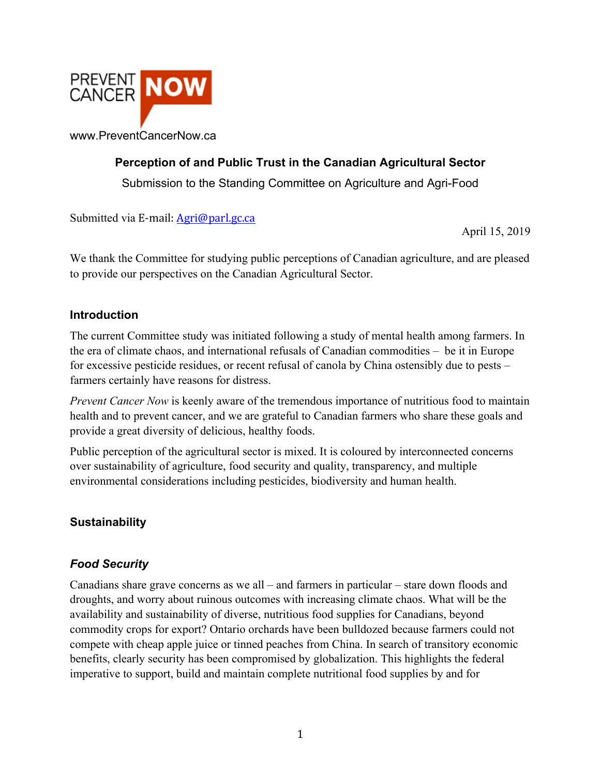

# **Perception of and Public Trust in the Canadian Agricultural Sector**

Submission to the Standing Committee on Agriculture and Agri-Food

Submitted via E-mail: Agri@parl.gc.ca

April 15, 2019

We thank the Committee for studying public perceptions of Canadian agriculture, and are pleased to provide our perspectives on the Canadian Agricultural Sector.

#### **Introduction**

The current Committee study was initiated following a study of mental health among farmers. In the era of climate chaos, and international refusals of Canadian commodities – be it in Europe for excessive pesticide residues, or recent refusal of canola by China ostensibly due to pests – farmers certainly have reasons for distress.

*Prevent Cancer Now* is keenly aware of the tremendous importance of nutritious food to maintain health and to prevent cancer, and we are grateful to Canadian farmers who share these goals and provide a great diversity of delicious, healthy foods.

Public perception of the agricultural sector is mixed. It is coloured by interconnected concerns over sustainability of agriculture, food security and quality, transparency, and multiple environmental considerations including pesticides, biodiversity and human health.

## **Sustainability**

## *Food Security*

Canadians share grave concerns as we all – and farmers in particular – stare down floods and droughts, and worry about ruinous outcomes with increasing climate chaos. What will be the availability and sustainability of diverse, nutritious food supplies for Canadians, beyond commodity crops for export? Ontario orchards have been bulldozed because farmers could not compete with cheap apple juice or tinned peaches from China. In search of transitory economic benefits, clearly security has been compromised by globalization. This highlights the federal imperative to support, build and maintain complete nutritional food supplies by and for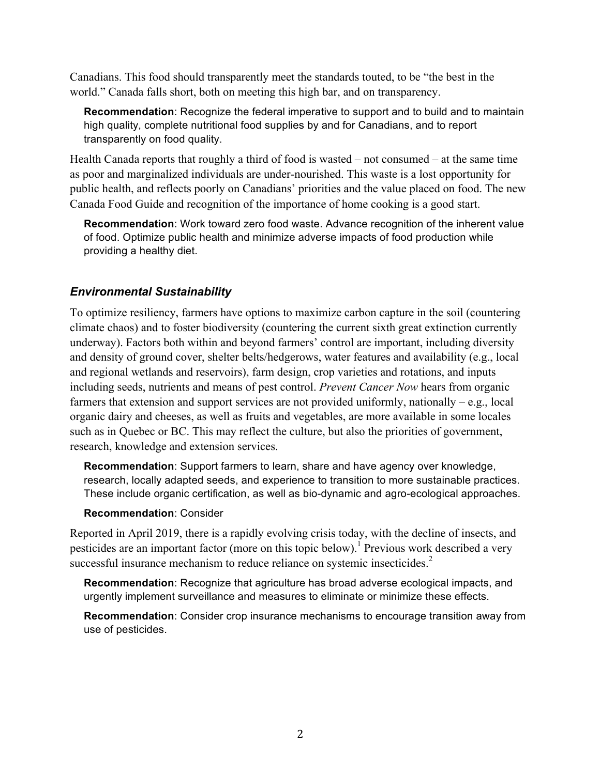Canadians. This food should transparently meet the standards touted, to be "the best in the world." Canada falls short, both on meeting this high bar, and on transparency.

**Recommendation**: Recognize the federal imperative to support and to build and to maintain high quality, complete nutritional food supplies by and for Canadians, and to report transparently on food quality.

Health Canada reports that roughly a third of food is wasted – not consumed – at the same time as poor and marginalized individuals are under-nourished. This waste is a lost opportunity for public health, and reflects poorly on Canadians' priorities and the value placed on food. The new Canada Food Guide and recognition of the importance of home cooking is a good start.

**Recommendation**: Work toward zero food waste. Advance recognition of the inherent value of food. Optimize public health and minimize adverse impacts of food production while providing a healthy diet.

### *Environmental Sustainability*

To optimize resiliency, farmers have options to maximize carbon capture in the soil (countering climate chaos) and to foster biodiversity (countering the current sixth great extinction currently underway). Factors both within and beyond farmers' control are important, including diversity and density of ground cover, shelter belts/hedgerows, water features and availability (e.g., local and regional wetlands and reservoirs), farm design, crop varieties and rotations, and inputs including seeds, nutrients and means of pest control. *Prevent Cancer Now* hears from organic farmers that extension and support services are not provided uniformly, nationally – e.g., local organic dairy and cheeses, as well as fruits and vegetables, are more available in some locales such as in Quebec or BC. This may reflect the culture, but also the priorities of government, research, knowledge and extension services.

**Recommendation**: Support farmers to learn, share and have agency over knowledge, research, locally adapted seeds, and experience to transition to more sustainable practices. These include organic certification, as well as bio-dynamic and agro-ecological approaches.

### **Recommendation**: Consider

Reported in April 2019, there is a rapidly evolving crisis today, with the decline of insects, and pesticides are an important factor (more on this topic below).<sup>1</sup> Previous work described a very successful insurance mechanism to reduce reliance on systemic insecticides.<sup>2</sup>

**Recommendation**: Recognize that agriculture has broad adverse ecological impacts, and urgently implement surveillance and measures to eliminate or minimize these effects.

**Recommendation**: Consider crop insurance mechanisms to encourage transition away from use of pesticides.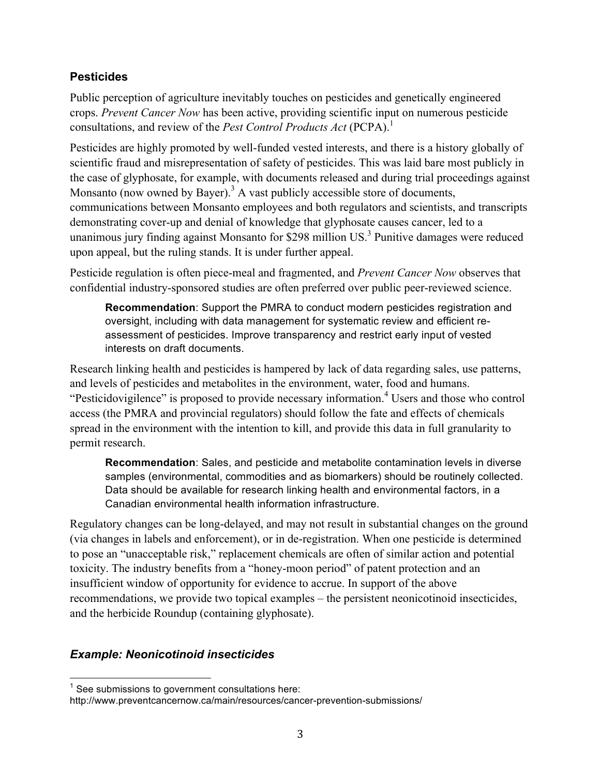### **Pesticides**

Public perception of agriculture inevitably touches on pesticides and genetically engineered crops. *Prevent Cancer Now* has been active, providing scientific input on numerous pesticide consultations, and review of the *Pest Control Products Act* (PCPA). 1

Pesticides are highly promoted by well-funded vested interests, and there is a history globally of scientific fraud and misrepresentation of safety of pesticides. This was laid bare most publicly in the case of glyphosate, for example, with documents released and during trial proceedings against Monsanto (now owned by Bayer).<sup>3</sup> A vast publicly accessible store of documents, communications between Monsanto employees and both regulators and scientists, and transcripts demonstrating cover-up and denial of knowledge that glyphosate causes cancer, led to a unanimous jury finding against Monsanto for \$298 million US.<sup>3</sup> Punitive damages were reduced upon appeal, but the ruling stands. It is under further appeal.

Pesticide regulation is often piece-meal and fragmented, and *Prevent Cancer Now* observes that confidential industry-sponsored studies are often preferred over public peer-reviewed science.

**Recommendation**: Support the PMRA to conduct modern pesticides registration and oversight, including with data management for systematic review and efficient reassessment of pesticides. Improve transparency and restrict early input of vested interests on draft documents.

Research linking health and pesticides is hampered by lack of data regarding sales, use patterns, and levels of pesticides and metabolites in the environment, water, food and humans. "Pesticidovigilence" is proposed to provide necessary information.<sup>4</sup> Users and those who control access (the PMRA and provincial regulators) should follow the fate and effects of chemicals spread in the environment with the intention to kill, and provide this data in full granularity to permit research.

**Recommendation**: Sales, and pesticide and metabolite contamination levels in diverse samples (environmental, commodities and as biomarkers) should be routinely collected. Data should be available for research linking health and environmental factors, in a Canadian environmental health information infrastructure.

Regulatory changes can be long-delayed, and may not result in substantial changes on the ground (via changes in labels and enforcement), or in de-registration. When one pesticide is determined to pose an "unacceptable risk," replacement chemicals are often of similar action and potential toxicity. The industry benefits from a "honey-moon period" of patent protection and an insufficient window of opportunity for evidence to accrue. In support of the above recommendations, we provide two topical examples – the persistent neonicotinoid insecticides, and the herbicide Roundup (containing glyphosate).

### *Example: Neonicotinoid insecticides*

 $1$  See submissions to government consultations here:

http://www.preventcancernow.ca/main/resources/cancer-prevention-submissions/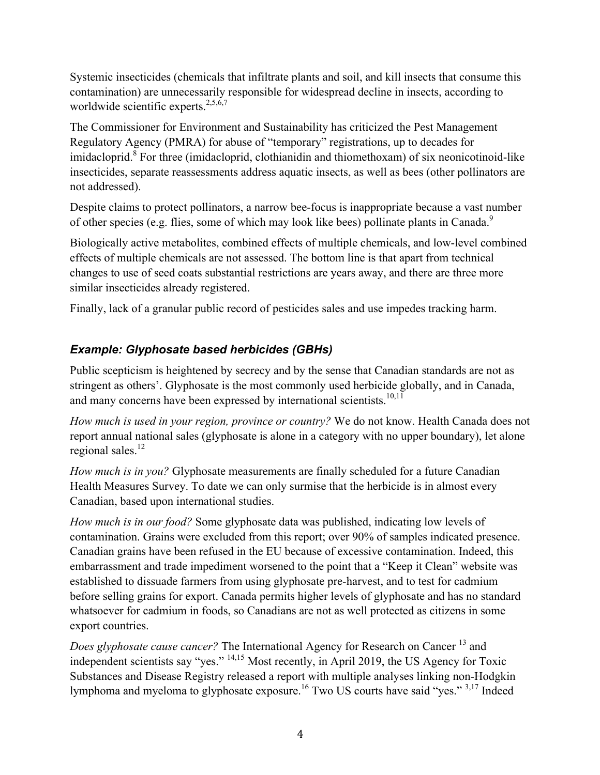Systemic insecticides (chemicals that infiltrate plants and soil, and kill insects that consume this contamination) are unnecessarily responsible for widespread decline in insects, according to worldwide scientific experts.<sup>2,5,6,7</sup>

The Commissioner for Environment and Sustainability has criticized the Pest Management Regulatory Agency (PMRA) for abuse of "temporary" registrations, up to decades for imidacloprid.<sup>8</sup> For three (imidacloprid, clothianidin and thiomethoxam) of six neonicotinoid-like insecticides, separate reassessments address aquatic insects, as well as bees (other pollinators are not addressed).

Despite claims to protect pollinators, a narrow bee-focus is inappropriate because a vast number of other species (e.g. flies, some of which may look like bees) pollinate plants in Canada.<sup>9</sup>

Biologically active metabolites, combined effects of multiple chemicals, and low-level combined effects of multiple chemicals are not assessed. The bottom line is that apart from technical changes to use of seed coats substantial restrictions are years away, and there are three more similar insecticides already registered.

Finally, lack of a granular public record of pesticides sales and use impedes tracking harm.

## *Example: Glyphosate based herbicides (GBHs)*

Public scepticism is heightened by secrecy and by the sense that Canadian standards are not as stringent as others'. Glyphosate is the most commonly used herbicide globally, and in Canada, and many concerns have been expressed by international scientists.<sup>10,11</sup>

*How much is used in your region, province or country?* We do not know. Health Canada does not report annual national sales (glyphosate is alone in a category with no upper boundary), let alone regional sales.<sup>12</sup>

*How much is in you?* Glyphosate measurements are finally scheduled for a future Canadian Health Measures Survey. To date we can only surmise that the herbicide is in almost every Canadian, based upon international studies.

*How much is in our food?* Some glyphosate data was published, indicating low levels of contamination. Grains were excluded from this report; over 90% of samples indicated presence. Canadian grains have been refused in the EU because of excessive contamination. Indeed, this embarrassment and trade impediment worsened to the point that a "Keep it Clean" website was established to dissuade farmers from using glyphosate pre-harvest, and to test for cadmium before selling grains for export. Canada permits higher levels of glyphosate and has no standard whatsoever for cadmium in foods, so Canadians are not as well protected as citizens in some export countries.

*Does glyphosate cause cancer?* The International Agency for Research on Cancer<sup>13</sup> and independent scientists say "yes." 14,15 Most recently, in April 2019, the US Agency for Toxic Substances and Disease Registry released a report with multiple analyses linking non-Hodgkin lymphoma and myeloma to glyphosate exposure.<sup>16</sup> Two US courts have said "yes." <sup>3,17</sup> Indeed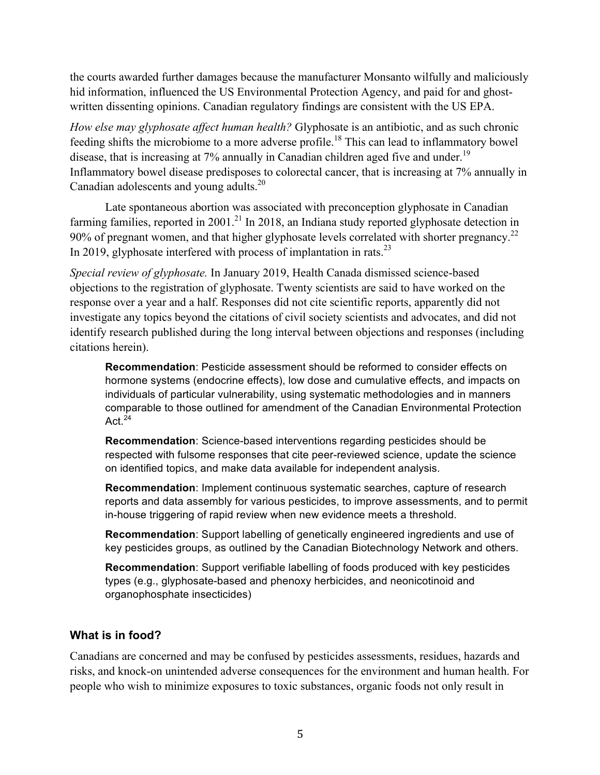the courts awarded further damages because the manufacturer Monsanto wilfully and maliciously hid information, influenced the US Environmental Protection Agency, and paid for and ghostwritten dissenting opinions. Canadian regulatory findings are consistent with the US EPA.

*How else may glyphosate affect human health?* Glyphosate is an antibiotic, and as such chronic feeding shifts the microbiome to a more adverse profile.<sup>18</sup> This can lead to inflammatory bowel disease, that is increasing at  $7\%$  annually in Canadian children aged five and under.<sup>19</sup> Inflammatory bowel disease predisposes to colorectal cancer, that is increasing at 7% annually in Canadian adolescents and young adults.<sup>20</sup>

Late spontaneous abortion was associated with preconception glyphosate in Canadian farming families, reported in 2001.<sup>21</sup> In 2018, an Indiana study reported glyphosate detection in 90% of pregnant women, and that higher glyphosate levels correlated with shorter pregnancy.<sup>22</sup> In 2019, glyphosate interfered with process of implantation in rats.<sup>23</sup>

*Special review of glyphosate.* In January 2019, Health Canada dismissed science-based objections to the registration of glyphosate. Twenty scientists are said to have worked on the response over a year and a half. Responses did not cite scientific reports, apparently did not investigate any topics beyond the citations of civil society scientists and advocates, and did not identify research published during the long interval between objections and responses (including citations herein).

**Recommendation**: Pesticide assessment should be reformed to consider effects on hormone systems (endocrine effects), low dose and cumulative effects, and impacts on individuals of particular vulnerability, using systematic methodologies and in manners comparable to those outlined for amendment of the Canadian Environmental Protection Act $^{24}$ 

**Recommendation**: Science-based interventions regarding pesticides should be respected with fulsome responses that cite peer-reviewed science, update the science on identified topics, and make data available for independent analysis.

**Recommendation**: Implement continuous systematic searches, capture of research reports and data assembly for various pesticides, to improve assessments, and to permit in-house triggering of rapid review when new evidence meets a threshold.

**Recommendation**: Support labelling of genetically engineered ingredients and use of key pesticides groups, as outlined by the Canadian Biotechnology Network and others.

**Recommendation**: Support verifiable labelling of foods produced with key pesticides types (e.g., glyphosate-based and phenoxy herbicides, and neonicotinoid and organophosphate insecticides)

### **What is in food?**

Canadians are concerned and may be confused by pesticides assessments, residues, hazards and risks, and knock-on unintended adverse consequences for the environment and human health. For people who wish to minimize exposures to toxic substances, organic foods not only result in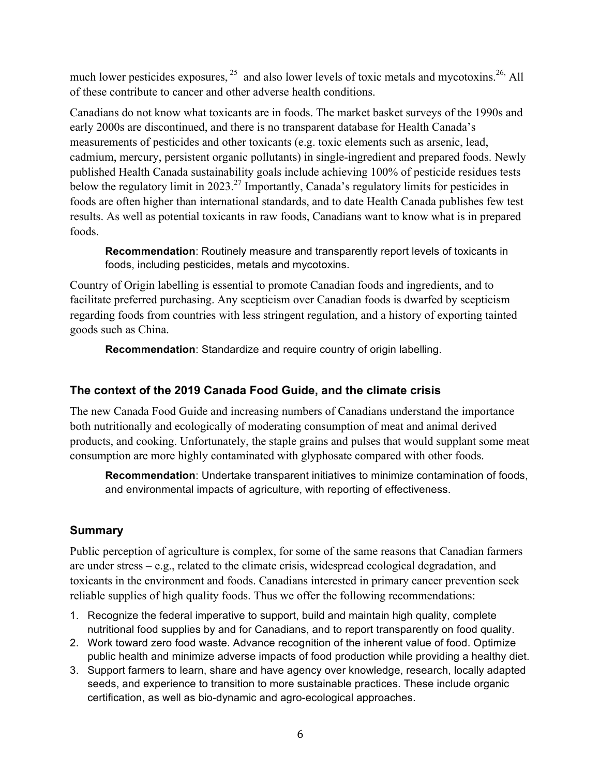much lower pesticides exposures,  $25$  and also lower levels of toxic metals and mycotoxins.  $26$  All of these contribute to cancer and other adverse health conditions.

Canadians do not know what toxicants are in foods. The market basket surveys of the 1990s and early 2000s are discontinued, and there is no transparent database for Health Canada's measurements of pesticides and other toxicants (e.g. toxic elements such as arsenic, lead, cadmium, mercury, persistent organic pollutants) in single-ingredient and prepared foods. Newly published Health Canada sustainability goals include achieving 100% of pesticide residues tests below the regulatory limit in 2023.<sup>27</sup> Importantly, Canada's regulatory limits for pesticides in foods are often higher than international standards, and to date Health Canada publishes few test results. As well as potential toxicants in raw foods, Canadians want to know what is in prepared foods.

**Recommendation**: Routinely measure and transparently report levels of toxicants in foods, including pesticides, metals and mycotoxins.

Country of Origin labelling is essential to promote Canadian foods and ingredients, and to facilitate preferred purchasing. Any scepticism over Canadian foods is dwarfed by scepticism regarding foods from countries with less stringent regulation, and a history of exporting tainted goods such as China.

**Recommendation**: Standardize and require country of origin labelling.

### **The context of the 2019 Canada Food Guide, and the climate crisis**

The new Canada Food Guide and increasing numbers of Canadians understand the importance both nutritionally and ecologically of moderating consumption of meat and animal derived products, and cooking. Unfortunately, the staple grains and pulses that would supplant some meat consumption are more highly contaminated with glyphosate compared with other foods.

**Recommendation**: Undertake transparent initiatives to minimize contamination of foods, and environmental impacts of agriculture, with reporting of effectiveness.

## **Summary**

Public perception of agriculture is complex, for some of the same reasons that Canadian farmers are under stress – e.g., related to the climate crisis, widespread ecological degradation, and toxicants in the environment and foods. Canadians interested in primary cancer prevention seek reliable supplies of high quality foods. Thus we offer the following recommendations:

- 1. Recognize the federal imperative to support, build and maintain high quality, complete nutritional food supplies by and for Canadians, and to report transparently on food quality.
- 2. Work toward zero food waste. Advance recognition of the inherent value of food. Optimize public health and minimize adverse impacts of food production while providing a healthy diet.
- 3. Support farmers to learn, share and have agency over knowledge, research, locally adapted seeds, and experience to transition to more sustainable practices. These include organic certification, as well as bio-dynamic and agro-ecological approaches.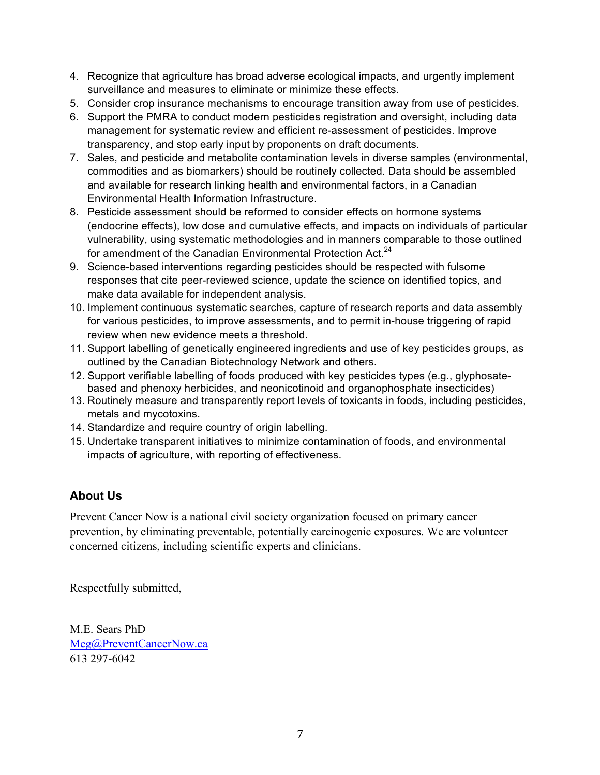- 4. Recognize that agriculture has broad adverse ecological impacts, and urgently implement surveillance and measures to eliminate or minimize these effects.
- 5. Consider crop insurance mechanisms to encourage transition away from use of pesticides.
- 6. Support the PMRA to conduct modern pesticides registration and oversight, including data management for systematic review and efficient re-assessment of pesticides. Improve transparency, and stop early input by proponents on draft documents.
- 7. Sales, and pesticide and metabolite contamination levels in diverse samples (environmental, commodities and as biomarkers) should be routinely collected. Data should be assembled and available for research linking health and environmental factors, in a Canadian Environmental Health Information Infrastructure.
- 8. Pesticide assessment should be reformed to consider effects on hormone systems (endocrine effects), low dose and cumulative effects, and impacts on individuals of particular vulnerability, using systematic methodologies and in manners comparable to those outlined for amendment of the Canadian Environmental Protection Act.<sup>24</sup>
- 9. Science-based interventions regarding pesticides should be respected with fulsome responses that cite peer-reviewed science, update the science on identified topics, and make data available for independent analysis.
- 10. Implement continuous systematic searches, capture of research reports and data assembly for various pesticides, to improve assessments, and to permit in-house triggering of rapid review when new evidence meets a threshold.
- 11. Support labelling of genetically engineered ingredients and use of key pesticides groups, as outlined by the Canadian Biotechnology Network and others.
- 12. Support verifiable labelling of foods produced with key pesticides types (e.g., glyphosatebased and phenoxy herbicides, and neonicotinoid and organophosphate insecticides)
- 13. Routinely measure and transparently report levels of toxicants in foods, including pesticides, metals and mycotoxins.
- 14. Standardize and require country of origin labelling.
- 15. Undertake transparent initiatives to minimize contamination of foods, and environmental impacts of agriculture, with reporting of effectiveness.

## **About Us**

Prevent Cancer Now is a national civil society organization focused on primary cancer prevention, by eliminating preventable, potentially carcinogenic exposures. We are volunteer concerned citizens, including scientific experts and clinicians.

Respectfully submitted,

M.E. Sears PhD Meg@PreventCancerNow.ca 613 297-6042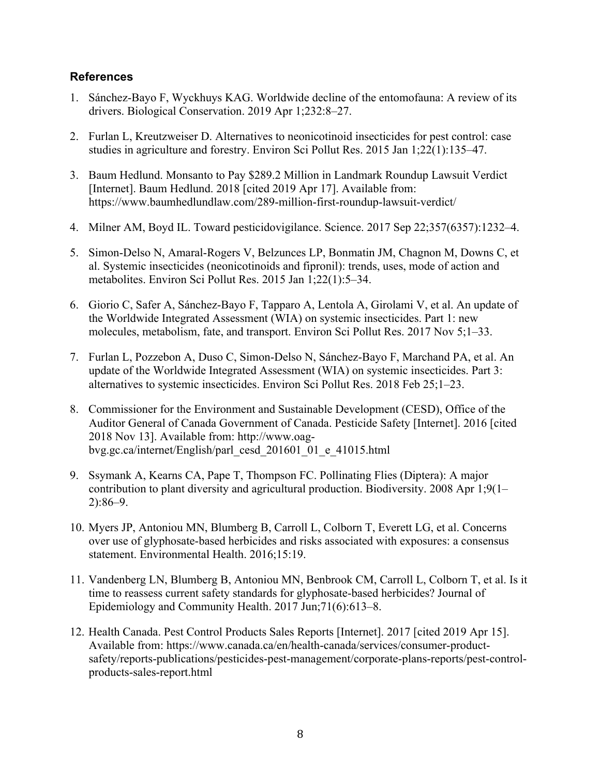#### **References**

- 1. Sánchez-Bayo F, Wyckhuys KAG. Worldwide decline of the entomofauna: A review of its drivers. Biological Conservation. 2019 Apr 1;232:8–27.
- 2. Furlan L, Kreutzweiser D. Alternatives to neonicotinoid insecticides for pest control: case studies in agriculture and forestry. Environ Sci Pollut Res. 2015 Jan 1;22(1):135–47.
- 3. Baum Hedlund. Monsanto to Pay \$289.2 Million in Landmark Roundup Lawsuit Verdict [Internet]. Baum Hedlund. 2018 [cited 2019 Apr 17]. Available from: https://www.baumhedlundlaw.com/289-million-first-roundup-lawsuit-verdict/
- 4. Milner AM, Boyd IL. Toward pesticidovigilance. Science. 2017 Sep 22;357(6357):1232–4.
- 5. Simon-Delso N, Amaral-Rogers V, Belzunces LP, Bonmatin JM, Chagnon M, Downs C, et al. Systemic insecticides (neonicotinoids and fipronil): trends, uses, mode of action and metabolites. Environ Sci Pollut Res. 2015 Jan 1;22(1):5–34.
- 6. Giorio C, Safer A, Sánchez-Bayo F, Tapparo A, Lentola A, Girolami V, et al. An update of the Worldwide Integrated Assessment (WIA) on systemic insecticides. Part 1: new molecules, metabolism, fate, and transport. Environ Sci Pollut Res. 2017 Nov 5;1–33.
- 7. Furlan L, Pozzebon A, Duso C, Simon-Delso N, Sánchez-Bayo F, Marchand PA, et al. An update of the Worldwide Integrated Assessment (WIA) on systemic insecticides. Part 3: alternatives to systemic insecticides. Environ Sci Pollut Res. 2018 Feb 25;1–23.
- 8. Commissioner for the Environment and Sustainable Development (CESD), Office of the Auditor General of Canada Government of Canada. Pesticide Safety [Internet]. 2016 [cited 2018 Nov 13]. Available from: http://www.oagbvg.gc.ca/internet/English/parl\_cesd\_201601\_01\_e\_41015.html
- 9. Ssymank A, Kearns CA, Pape T, Thompson FC. Pollinating Flies (Diptera): A major contribution to plant diversity and agricultural production. Biodiversity. 2008 Apr 1;9(1– 2):86–9.
- 10. Myers JP, Antoniou MN, Blumberg B, Carroll L, Colborn T, Everett LG, et al. Concerns over use of glyphosate-based herbicides and risks associated with exposures: a consensus statement. Environmental Health. 2016;15:19.
- 11. Vandenberg LN, Blumberg B, Antoniou MN, Benbrook CM, Carroll L, Colborn T, et al. Is it time to reassess current safety standards for glyphosate-based herbicides? Journal of Epidemiology and Community Health. 2017 Jun;71(6):613–8.
- 12. Health Canada. Pest Control Products Sales Reports [Internet]. 2017 [cited 2019 Apr 15]. Available from: https://www.canada.ca/en/health-canada/services/consumer-productsafety/reports-publications/pesticides-pest-management/corporate-plans-reports/pest-controlproducts-sales-report.html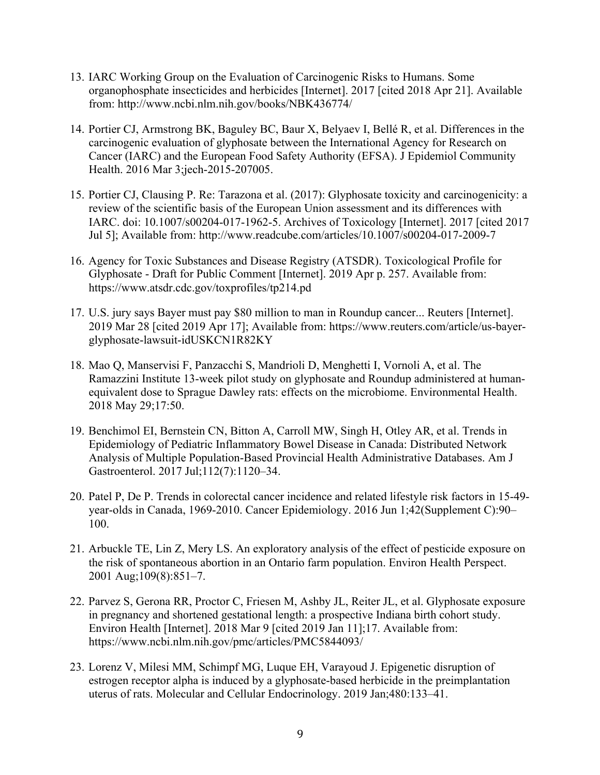- 13. IARC Working Group on the Evaluation of Carcinogenic Risks to Humans. Some organophosphate insecticides and herbicides [Internet]. 2017 [cited 2018 Apr 21]. Available from: http://www.ncbi.nlm.nih.gov/books/NBK436774/
- 14. Portier CJ, Armstrong BK, Baguley BC, Baur X, Belyaev I, Bellé R, et al. Differences in the carcinogenic evaluation of glyphosate between the International Agency for Research on Cancer (IARC) and the European Food Safety Authority (EFSA). J Epidemiol Community Health. 2016 Mar 3;jech-2015-207005.
- 15. Portier CJ, Clausing P. Re: Tarazona et al. (2017): Glyphosate toxicity and carcinogenicity: a review of the scientific basis of the European Union assessment and its differences with IARC. doi: 10.1007/s00204-017-1962-5. Archives of Toxicology [Internet]. 2017 [cited 2017 Jul 5]; Available from: http://www.readcube.com/articles/10.1007/s00204-017-2009-7
- 16. Agency for Toxic Substances and Disease Registry (ATSDR). Toxicological Profile for Glyphosate - Draft for Public Comment [Internet]. 2019 Apr p. 257. Available from: https://www.atsdr.cdc.gov/toxprofiles/tp214.pd
- 17. U.S. jury says Bayer must pay \$80 million to man in Roundup cancer... Reuters [Internet]. 2019 Mar 28 [cited 2019 Apr 17]; Available from: https://www.reuters.com/article/us-bayerglyphosate-lawsuit-idUSKCN1R82KY
- 18. Mao Q, Manservisi F, Panzacchi S, Mandrioli D, Menghetti I, Vornoli A, et al. The Ramazzini Institute 13-week pilot study on glyphosate and Roundup administered at humanequivalent dose to Sprague Dawley rats: effects on the microbiome. Environmental Health. 2018 May 29;17:50.
- 19. Benchimol EI, Bernstein CN, Bitton A, Carroll MW, Singh H, Otley AR, et al. Trends in Epidemiology of Pediatric Inflammatory Bowel Disease in Canada: Distributed Network Analysis of Multiple Population-Based Provincial Health Administrative Databases. Am J Gastroenterol. 2017 Jul;112(7):1120–34.
- 20. Patel P, De P. Trends in colorectal cancer incidence and related lifestyle risk factors in 15-49 year-olds in Canada, 1969-2010. Cancer Epidemiology. 2016 Jun 1;42(Supplement C):90– 100.
- 21. Arbuckle TE, Lin Z, Mery LS. An exploratory analysis of the effect of pesticide exposure on the risk of spontaneous abortion in an Ontario farm population. Environ Health Perspect. 2001 Aug;109(8):851–7.
- 22. Parvez S, Gerona RR, Proctor C, Friesen M, Ashby JL, Reiter JL, et al. Glyphosate exposure in pregnancy and shortened gestational length: a prospective Indiana birth cohort study. Environ Health [Internet]. 2018 Mar 9 [cited 2019 Jan 11];17. Available from: https://www.ncbi.nlm.nih.gov/pmc/articles/PMC5844093/
- 23. Lorenz V, Milesi MM, Schimpf MG, Luque EH, Varayoud J. Epigenetic disruption of estrogen receptor alpha is induced by a glyphosate-based herbicide in the preimplantation uterus of rats. Molecular and Cellular Endocrinology. 2019 Jan;480:133–41.